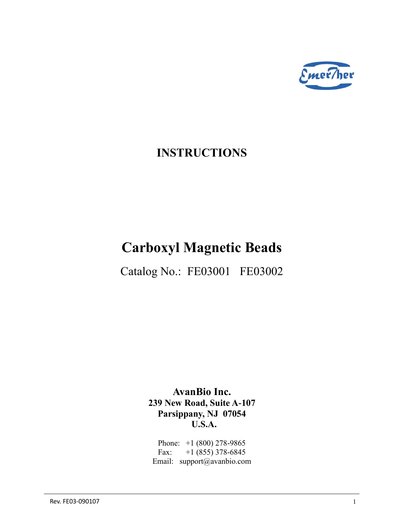

# **INSTRUCTIONS**

# **Carboxyl Magnetic Beads**

Catalog No.: FE03001 FE03002

**AvanBio Inc. 239 New Road, Suite A-107 Parsippany, NJ 07054 U.S.A.**

Phone: +1 (800) 278-9865 Fax:  $+1(855)378-6845$ Email: support@avanbio.com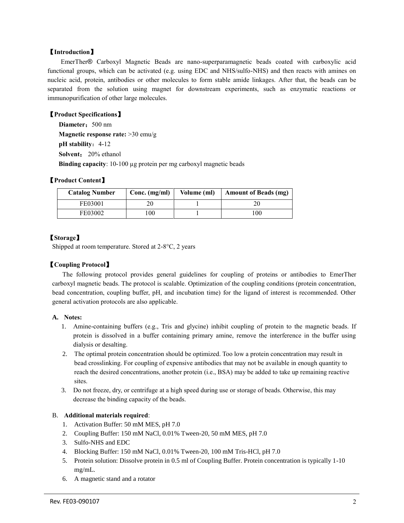# 【**Introduction**】

EmerTher® Carboxyl Magnetic Beads are nano-superparamagnetic beads coated with carboxylic acid functional groups, which can be activated (e.g. using EDC and NHS/sulfo-NHS) and then reacts with amines on nucleic acid, protein, antibodies or other molecules to form stable amide linkages. After that, the beads can be separated from the solution using magnet for downstream experiments, such as enzymatic reactions or immunopurification of other large molecules.

#### 【**Product Specifications**】

**Diameter:** 500 nm **Magnetic response rate:** >30 emu/g **pH** stability: 4-12  **Solvent**: 20% ethanol **Binding capacity**: 10-100 µg protein per mg carboxyl magnetic beads

### 【**Product Content**】

| <b>Catalog Number</b> | Conc. (mg/ml) | Volume (ml) | <b>Amount of Beads (mg)</b> |
|-----------------------|---------------|-------------|-----------------------------|
| FE03001               |               |             |                             |
| FE03002               | 00            |             | 00،                         |

# 【**Storage**】

Shipped at room temperature. Stored at 2-8°C, 2 years

# 【**Coupling Protocol**】

The following protocol provides general guidelines for coupling of proteins or antibodies to EmerTher carboxyl magnetic beads. The protocol is scalable. Optimization of the coupling conditions (protein concentration, bead concentration, coupling buffer, pH, and incubation time) for the ligand of interest is recommended. Other general activation protocols are also applicable.

#### **A. Notes:**

- 1. Amine-containing buffers (e.g., Tris and glycine) inhibit coupling of protein to the magnetic beads. If protein is dissolved in a buffer containing primary amine, remove the interference in the buffer using dialysis or desalting.
- 2. The optimal protein concentration should be optimized. Too low a protein concentration may result in bead crosslinking. For coupling of expensive antibodies that may not be available in enough quantity to reach the desired concentrations, another protein (i.e., BSA) may be added to take up remaining reactive sites.
- 3. Do not freeze, dry, or centrifuge at a high speed during use or storage of beads. Otherwise, this may decrease the binding capacity of the beads.

#### B. **Additional materials required**:

- 1. Activation Buffer: 50 mM MES, pH 7.0
- 2. Coupling Buffer: 150 mM NaCl, 0.01% Tween-20, 50 mM MES, pH 7.0
- 3. Sulfo-NHS and EDC
- 4. Blocking Buffer: 150 mM NaCl, 0.01% Tween-20, 100 mM Tris-HCl, pH 7.0
- 5. Protein solution: Dissolve protein in 0.5 ml of Coupling Buffer. Protein concentration is typically 1-10 mg/mL.
- 6. A magnetic stand and a rotator